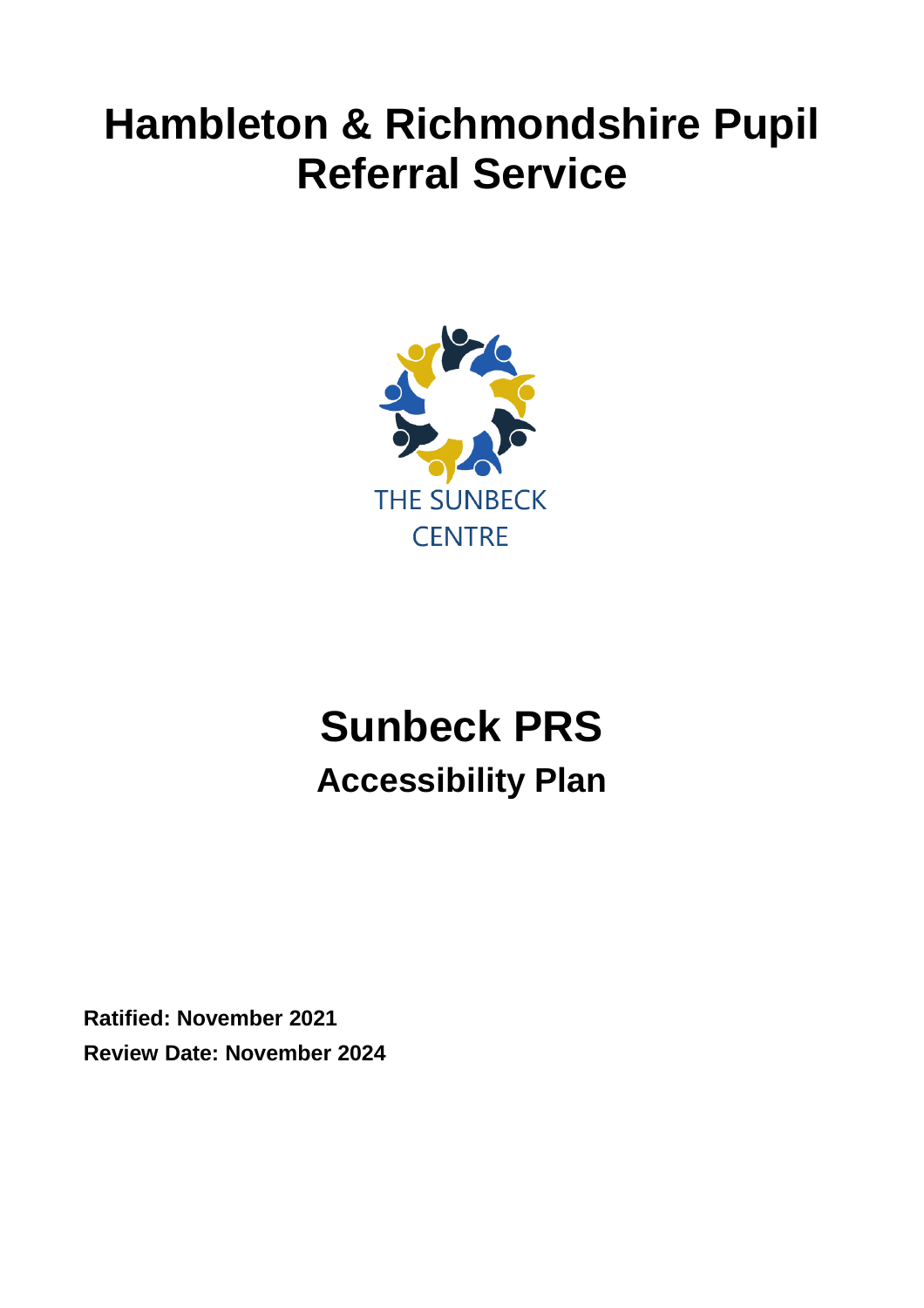# **Hambleton & Richmondshire Pupil Referral Service**



# **Sunbeck PRS Accessibility Plan**

**Ratified: November 2021 Review Date: November 2024**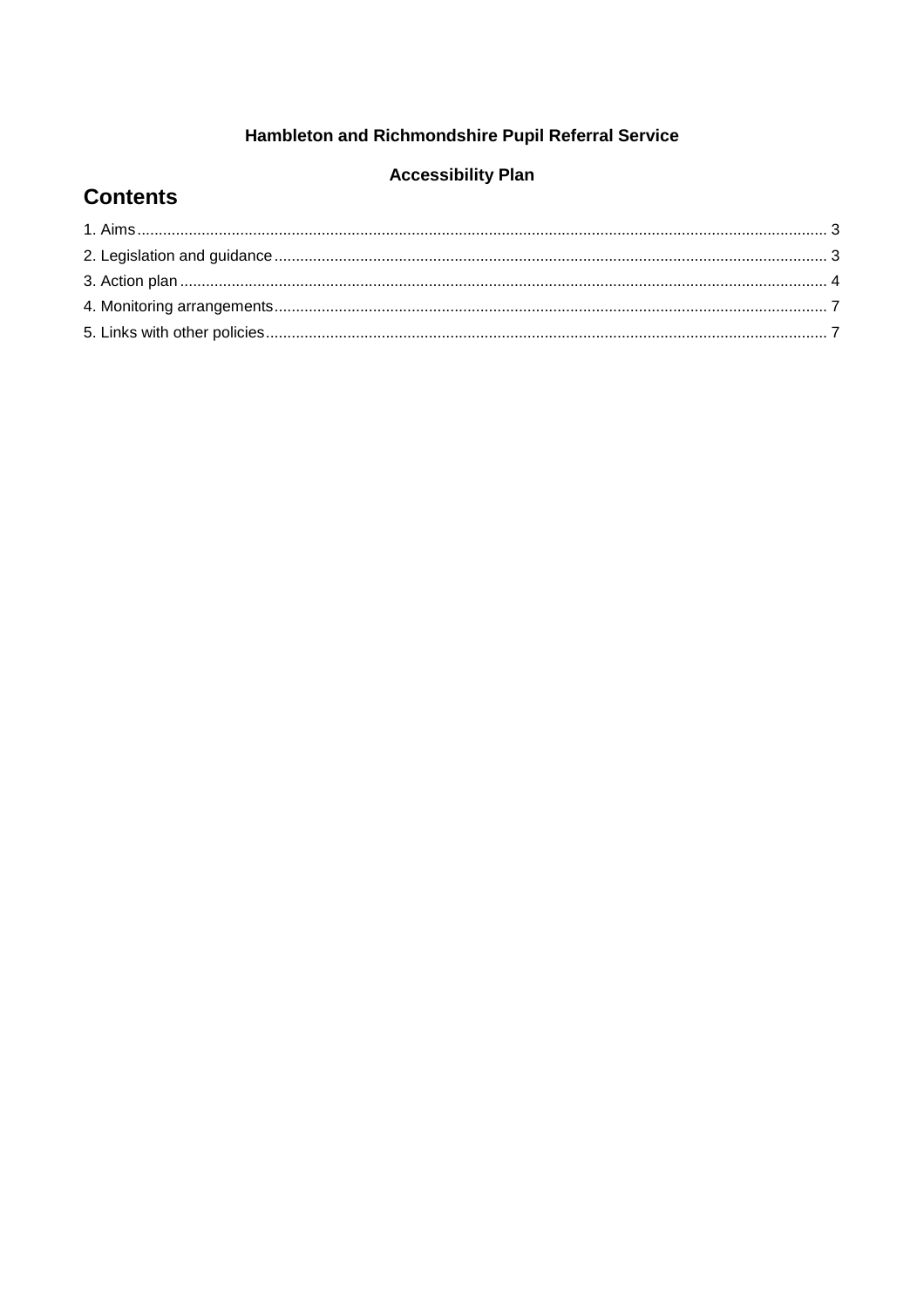#### Hambleton and Richmondshire Pupil Referral Service

#### **Accessibility Plan**

#### **Contents**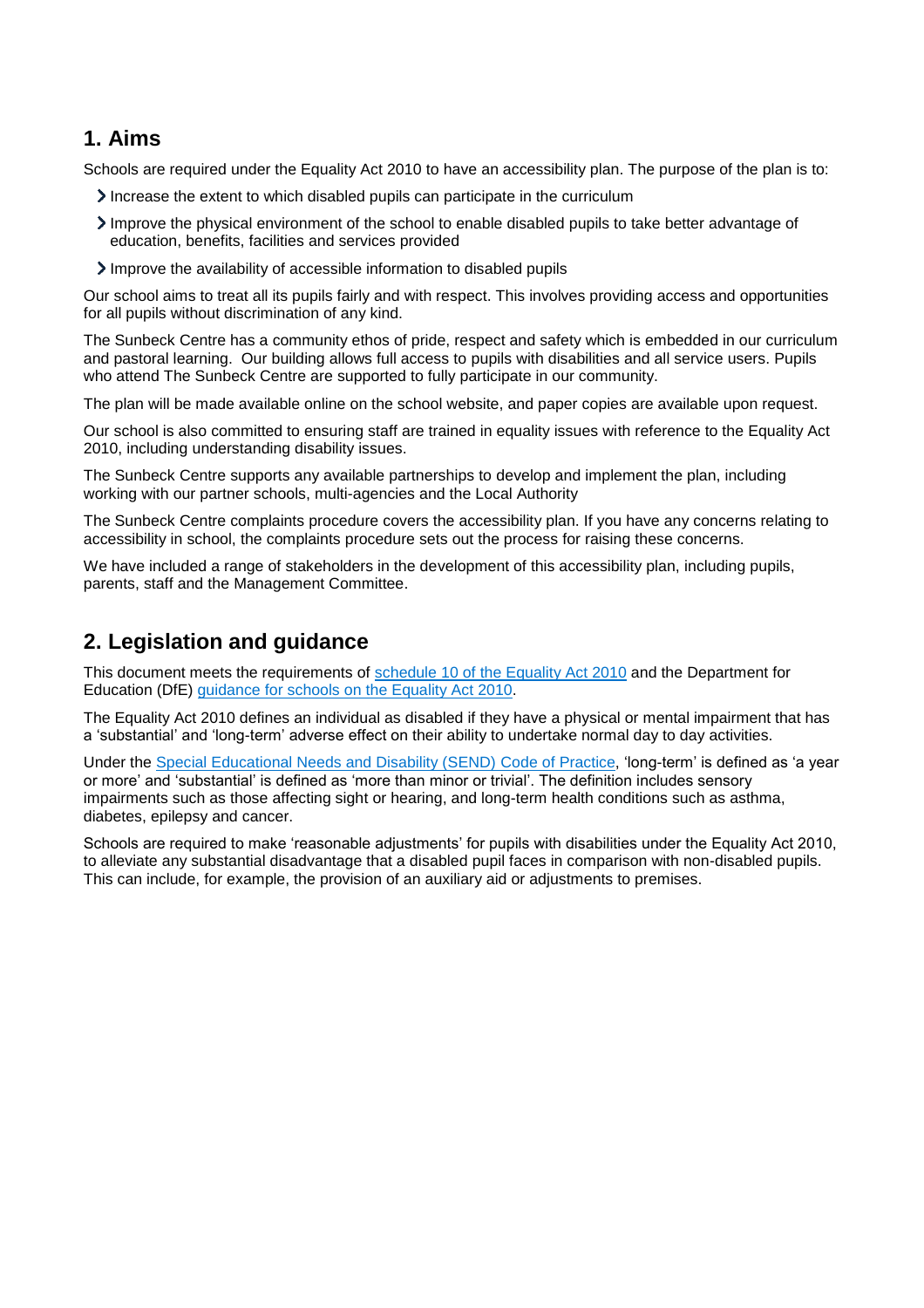#### <span id="page-2-0"></span>**1. Aims**

Schools are required under the Equality Act 2010 to have an accessibility plan. The purpose of the plan is to:

- Increase the extent to which disabled pupils can participate in the curriculum
- Improve the physical environment of the school to enable disabled pupils to take better advantage of education, benefits, facilities and services provided
- Improve the availability of accessible information to disabled pupils

Our school aims to treat all its pupils fairly and with respect. This involves providing access and opportunities for all pupils without discrimination of any kind.

The Sunbeck Centre has a community ethos of pride, respect and safety which is embedded in our curriculum and pastoral learning. Our building allows full access to pupils with disabilities and all service users. Pupils who attend The Sunbeck Centre are supported to fully participate in our community.

The plan will be made available online on the school website, and paper copies are available upon request.

Our school is also committed to ensuring staff are trained in equality issues with reference to the Equality Act 2010, including understanding disability issues.

The Sunbeck Centre supports any available partnerships to develop and implement the plan, including working with our partner schools, multi-agencies and the Local Authority

The Sunbeck Centre complaints procedure covers the accessibility plan. If you have any concerns relating to accessibility in school, the complaints procedure sets out the process for raising these concerns.

We have included a range of stakeholders in the development of this accessibility plan, including pupils, parents, staff and the Management Committee.

### <span id="page-2-1"></span>**2. Legislation and guidance**

This document meets the requirements of schedule 10 of [the Equality Act 2010](http://www.legislation.gov.uk/ukpga/2010/15/schedule/10) and the Department for Education (DfE) [guidance for schools on the Equality Act 2010.](https://www.gov.uk/government/publications/equality-act-2010-advice-for-schools)

The Equality Act 2010 defines an individual as disabled if they have a physical or mental impairment that has a 'substantial' and 'long-term' adverse effect on their ability to undertake normal day to day activities.

Under the [Special Educational Needs and Disability \(SEND\) Code of Practice,](https://www.gov.uk/government/publications/send-code-of-practice-0-to-25) 'long-term' is defined as 'a year or more' and 'substantial' is defined as 'more than minor or trivial'. The definition includes sensory impairments such as those affecting sight or hearing, and long-term health conditions such as asthma, diabetes, epilepsy and cancer.

Schools are required to make 'reasonable adjustments' for pupils with disabilities under the Equality Act 2010, to alleviate any substantial disadvantage that a disabled pupil faces in comparison with non-disabled pupils. This can include, for example, the provision of an auxiliary aid or adjustments to premises.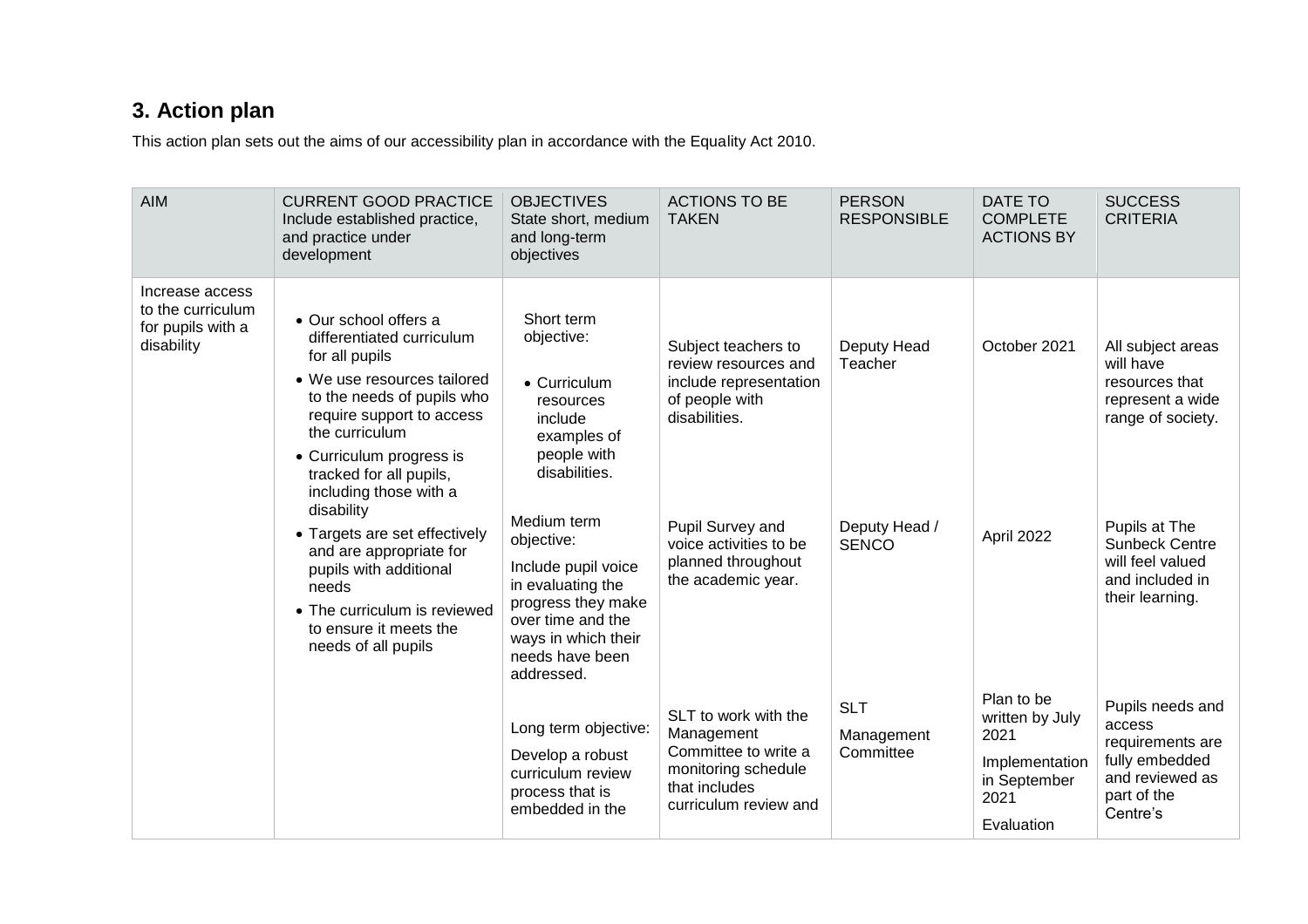# **3. Action plan**

This action plan sets out the aims of our accessibility plan in accordance with the Equality Act 2010.

<span id="page-3-0"></span>

| <b>AIM</b>                                                              | <b>CURRENT GOOD PRACTICE</b><br>Include established practice,<br>and practice under<br>development                                                                                                                                                                | <b>OBJECTIVES</b><br>State short, medium<br>and long-term<br>objectives                                                                                                  | <b>ACTIONS TO BE</b><br><b>TAKEN</b>                                                                                        | <b>PERSON</b><br><b>RESPONSIBLE</b>   | DATE TO<br><b>COMPLETE</b><br><b>ACTIONS BY</b>                                               | <b>SUCCESS</b><br><b>CRITERIA</b>                                                                              |
|-------------------------------------------------------------------------|-------------------------------------------------------------------------------------------------------------------------------------------------------------------------------------------------------------------------------------------------------------------|--------------------------------------------------------------------------------------------------------------------------------------------------------------------------|-----------------------------------------------------------------------------------------------------------------------------|---------------------------------------|-----------------------------------------------------------------------------------------------|----------------------------------------------------------------------------------------------------------------|
| Increase access<br>to the curriculum<br>for pupils with a<br>disability | • Our school offers a<br>differentiated curriculum<br>for all pupils<br>• We use resources tailored<br>to the needs of pupils who<br>require support to access<br>the curriculum<br>• Curriculum progress is<br>tracked for all pupils,<br>including those with a | Short term<br>objective:<br>$\bullet$ Curriculum<br>resources<br>include<br>examples of<br>people with<br>disabilities.                                                  | Subject teachers to<br>review resources and<br>include representation<br>of people with<br>disabilities.                    | Deputy Head<br>Teacher                | October 2021                                                                                  | All subject areas<br>will have<br>resources that<br>represent a wide<br>range of society.                      |
|                                                                         | disability<br>• Targets are set effectively<br>and are appropriate for<br>pupils with additional<br>needs<br>• The curriculum is reviewed<br>to ensure it meets the<br>needs of all pupils                                                                        | Medium term<br>objective:<br>Include pupil voice<br>in evaluating the<br>progress they make<br>over time and the<br>ways in which their<br>needs have been<br>addressed. | Pupil Survey and<br>voice activities to be<br>planned throughout<br>the academic year.                                      | Deputy Head /<br><b>SENCO</b>         | April 2022                                                                                    | Pupils at The<br><b>Sunbeck Centre</b><br>will feel valued<br>and included in<br>their learning.               |
|                                                                         |                                                                                                                                                                                                                                                                   | Long term objective:<br>Develop a robust<br>curriculum review<br>process that is<br>embedded in the                                                                      | SLT to work with the<br>Management<br>Committee to write a<br>monitoring schedule<br>that includes<br>curriculum review and | <b>SLT</b><br>Management<br>Committee | Plan to be<br>written by July<br>2021<br>Implementation<br>in September<br>2021<br>Evaluation | Pupils needs and<br>access<br>requirements are<br>fully embedded<br>and reviewed as<br>part of the<br>Centre's |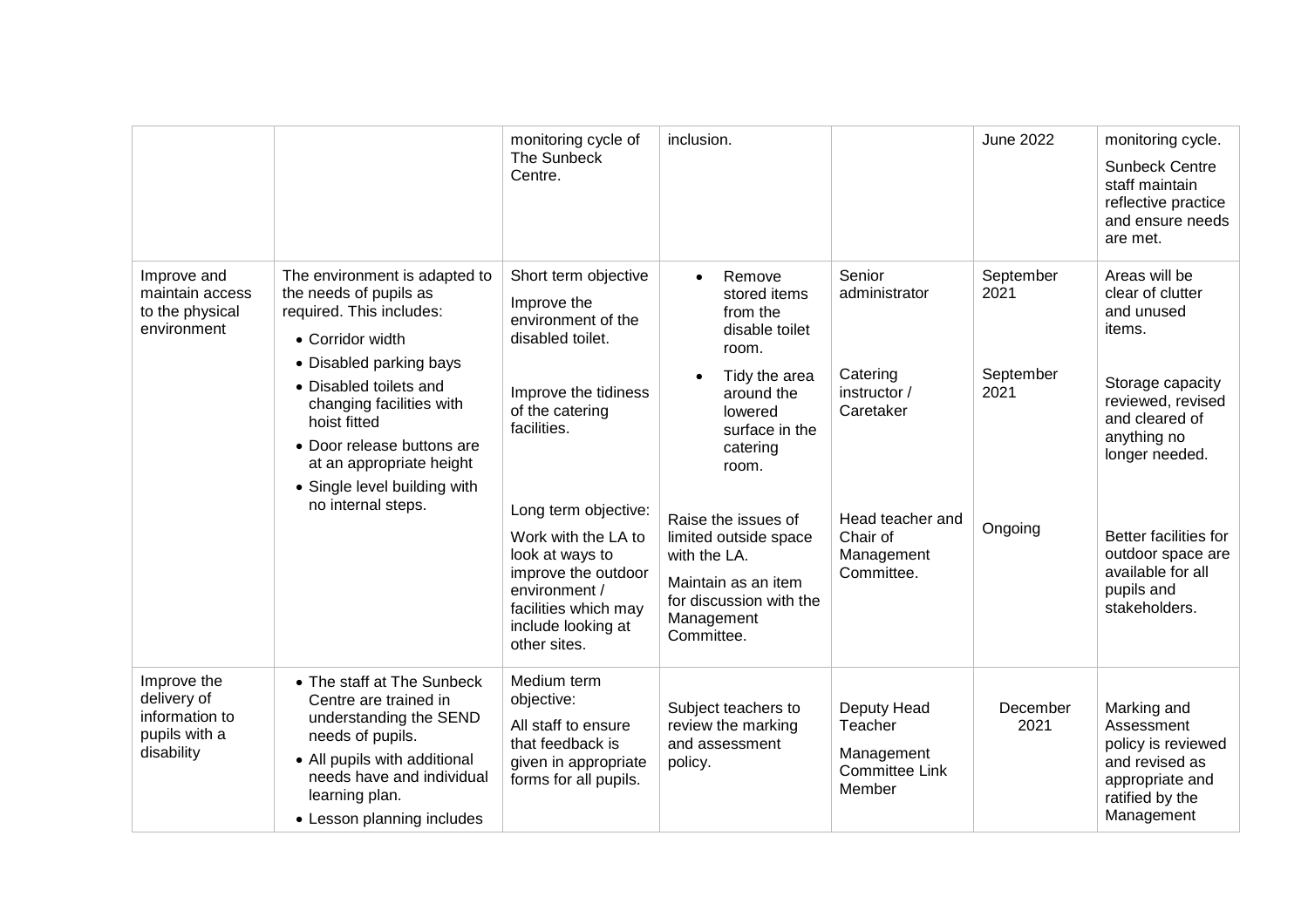|                                                                             |                                                                                                                                                                                                                                                                                                                          | monitoring cycle of<br>The Sunbeck<br>Centre.                                                                                                                                                                                                                                                                   | inclusion.                                                                                                                                                                                                                                                                                                             |                                                                                                                              | <b>June 2022</b>                                  | monitoring cycle.<br><b>Sunbeck Centre</b><br>staff maintain<br>reflective practice<br>and ensure needs<br>are met.                                                                                                                                     |
|-----------------------------------------------------------------------------|--------------------------------------------------------------------------------------------------------------------------------------------------------------------------------------------------------------------------------------------------------------------------------------------------------------------------|-----------------------------------------------------------------------------------------------------------------------------------------------------------------------------------------------------------------------------------------------------------------------------------------------------------------|------------------------------------------------------------------------------------------------------------------------------------------------------------------------------------------------------------------------------------------------------------------------------------------------------------------------|------------------------------------------------------------------------------------------------------------------------------|---------------------------------------------------|---------------------------------------------------------------------------------------------------------------------------------------------------------------------------------------------------------------------------------------------------------|
| Improve and<br>maintain access<br>to the physical<br>environment            | The environment is adapted to<br>the needs of pupils as<br>required. This includes:<br>• Corridor width<br>• Disabled parking bays<br>• Disabled toilets and<br>changing facilities with<br>hoist fitted<br>• Door release buttons are<br>at an appropriate height<br>• Single level building with<br>no internal steps. | Short term objective<br>Improve the<br>environment of the<br>disabled toilet.<br>Improve the tidiness<br>of the catering<br>facilities.<br>Long term objective:<br>Work with the LA to<br>look at ways to<br>improve the outdoor<br>environment /<br>facilities which may<br>include looking at<br>other sites. | Remove<br>$\bullet$<br>stored items<br>from the<br>disable toilet<br>room.<br>Tidy the area<br>$\bullet$<br>around the<br>lowered<br>surface in the<br>catering<br>room.<br>Raise the issues of<br>limited outside space<br>with the LA.<br>Maintain as an item<br>for discussion with the<br>Management<br>Committee. | Senior<br>administrator<br>Catering<br>instructor /<br>Caretaker<br>Head teacher and<br>Chair of<br>Management<br>Committee. | September<br>2021<br>September<br>2021<br>Ongoing | Areas will be<br>clear of clutter<br>and unused<br>items.<br>Storage capacity<br>reviewed, revised<br>and cleared of<br>anything no<br>longer needed.<br>Better facilities for<br>outdoor space are<br>available for all<br>pupils and<br>stakeholders. |
| Improve the<br>delivery of<br>information to<br>pupils with a<br>disability | • The staff at The Sunbeck<br>Centre are trained in<br>understanding the SEND<br>needs of pupils.<br>• All pupils with additional<br>needs have and individual<br>learning plan.<br>• Lesson planning includes                                                                                                           | Medium term<br>objective:<br>All staff to ensure<br>that feedback is<br>given in appropriate<br>forms for all pupils.                                                                                                                                                                                           | Subject teachers to<br>review the marking<br>and assessment<br>policy.                                                                                                                                                                                                                                                 | Deputy Head<br>Teacher<br>Management<br><b>Committee Link</b><br>Member                                                      | December<br>2021                                  | Marking and<br>Assessment<br>policy is reviewed<br>and revised as<br>appropriate and<br>ratified by the<br>Management                                                                                                                                   |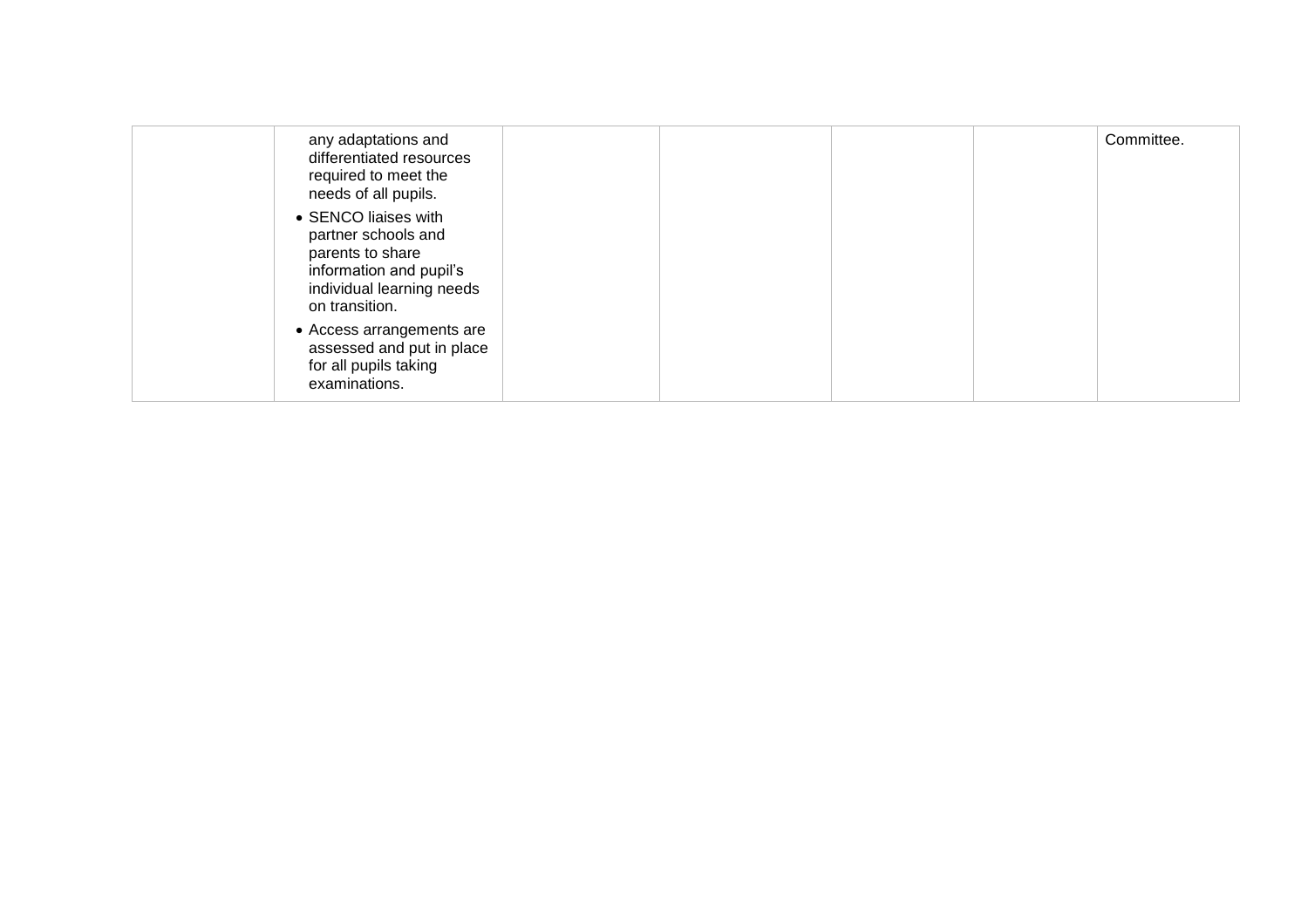| any adaptations and<br>differentiated resources<br>required to meet the<br>needs of all pupils.                                           |  | Committee. |
|-------------------------------------------------------------------------------------------------------------------------------------------|--|------------|
| • SENCO liaises with<br>partner schools and<br>parents to share<br>information and pupil's<br>individual learning needs<br>on transition. |  |            |
| • Access arrangements are<br>assessed and put in place<br>for all pupils taking<br>examinations.                                          |  |            |